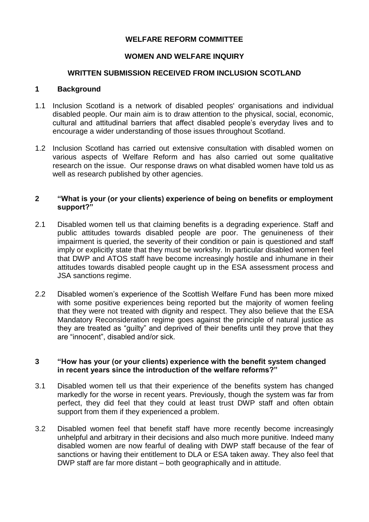# **WELFARE REFORM COMMITTEE**

## **WOMEN AND WELFARE INQUIRY**

### **WRITTEN SUBMISSION RECEIVED FROM INCLUSION SCOTLAND**

#### **1 Background**

- 1.1 Inclusion Scotland is a network of disabled peoples' organisations and individual disabled people. Our main aim is to draw attention to the physical, social, economic, cultural and attitudinal barriers that affect disabled people's everyday lives and to encourage a wider understanding of those issues throughout Scotland.
- 1.2 Inclusion Scotland has carried out extensive consultation with disabled women on various aspects of Welfare Reform and has also carried out some qualitative research on the issue. Our response draws on what disabled women have told us as well as research published by other agencies.

#### **2 "What is your (or your clients) experience of being on benefits or employment support?"**

- 2.1 Disabled women tell us that claiming benefits is a degrading experience. Staff and public attitudes towards disabled people are poor. The genuineness of their impairment is queried, the severity of their condition or pain is questioned and staff imply or explicitly state that they must be workshy. In particular disabled women feel that DWP and ATOS staff have become increasingly hostile and inhumane in their attitudes towards disabled people caught up in the ESA assessment process and JSA sanctions regime.
- 2.2 Disabled women's experience of the Scottish Welfare Fund has been more mixed with some positive experiences being reported but the majority of women feeling that they were not treated with dignity and respect. They also believe that the ESA Mandatory Reconsideration regime goes against the principle of natural justice as they are treated as "guilty" and deprived of their benefits until they prove that they are "innocent", disabled and/or sick.

### **3 "How has your (or your clients) experience with the benefit system changed in recent years since the introduction of the welfare reforms?"**

- 3.1 Disabled women tell us that their experience of the benefits system has changed markedly for the worse in recent years. Previously, though the system was far from perfect, they did feel that they could at least trust DWP staff and often obtain support from them if they experienced a problem.
- 3.2 Disabled women feel that benefit staff have more recently become increasingly unhelpful and arbitrary in their decisions and also much more punitive. Indeed many disabled women are now fearful of dealing with DWP staff because of the fear of sanctions or having their entitlement to DLA or ESA taken away. They also feel that DWP staff are far more distant – both geographically and in attitude.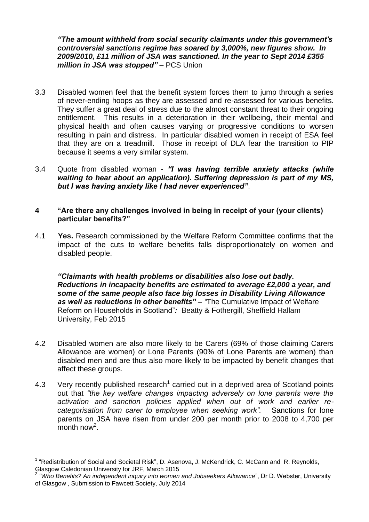*"The amount withheld from social security claimants under this government's controversial sanctions regime has soared by 3,000%, new figures show. In 2009/2010, £11 million of JSA was sanctioned. In the year to Sept 2014 £355 million in JSA was stopped"* – PCS Union

- 3.3 Disabled women feel that the benefit system forces them to jump through a series of never-ending hoops as they are assessed and re-assessed for various benefits. They suffer a great deal of stress due to the almost constant threat to their ongoing entitlement. This results in a deterioration in their wellbeing, their mental and physical health and often causes varying or progressive conditions to worsen resulting in pain and distress. In particular disabled women in receipt of ESA feel that they are on a treadmill. Those in receipt of DLA fear the transition to PIP because it seems a very similar system.
- 3.4 Quote from disabled woman **-** *"I was having terrible anxiety attacks (while waiting to hear about an application). Suffering depression is part of my MS, but I was having anxiety like I had never experienced"*.

## **4 "Are there any challenges involved in being in receipt of your (your clients) particular benefits?"**

4.1 **Yes.** Research commissioned by the Welfare Reform Committee confirms that the impact of the cuts to welfare benefits falls disproportionately on women and disabled people.

*"Claimants with health problems or disabilities also lose out badly. Reductions in incapacity benefits are estimated to average £2,000 a year, and some of the same people also face big losses in Disability Living Allowance as well as reductions in other benefits" – "*The Cumulative Impact of Welfare Reform on Households in Scotland"*:* Beatty & Fothergill, Sheffield Hallam University, Feb 2015

- 4.2 Disabled women are also more likely to be Carers (69% of those claiming Carers Allowance are women) or Lone Parents (90% of Lone Parents are women) than disabled men and are thus also more likely to be impacted by benefit changes that affect these groups.
- 4.3 Very recently published research<sup>1</sup> carried out in a deprived area of Scotland points out that *"the key welfare changes impacting adversely on lone parents were the activation and sanction policies applied when out of work and earlier recategorisation from carer to employee when seeking work".* Sanctions for lone parents on JSA have risen from under 200 per month prior to 2008 to 4,700 per  $m$ onth now<sup>2</sup>.

 $\overline{a}$ <sup>1</sup> "Redistribution of Social and Societal Risk", D. Asenova, J. McKendrick, C. McCann and R. Reynolds, Glasgow Caledonian University for JRF, March 2015

<sup>2</sup> *"Who Benefits? An independent inquiry into women and Jobseekers Allowance*", Dr D. Webster, University of Glasgow , Submission to Fawcett Society, July 2014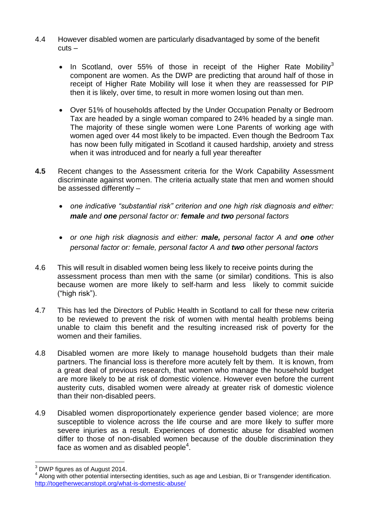- 4.4 However disabled women are particularly disadvantaged by some of the benefit cuts –
	- In Scotland, over 55% of those in receipt of the Higher Rate Mobility<sup>3</sup> component are women. As the DWP are predicting that around half of those in receipt of Higher Rate Mobility will lose it when they are reassessed for PIP then it is likely, over time, to result in more women losing out than men.
	- Over 51% of households affected by the Under Occupation Penalty or Bedroom Tax are headed by a single woman compared to 24% headed by a single man. The majority of these single women were Lone Parents of working age with women aged over 44 most likely to be impacted. Even though the Bedroom Tax has now been fully mitigated in Scotland it caused hardship, anxiety and stress when it was introduced and for nearly a full year thereafter
- **4.5** Recent changes to the Assessment criteria for the Work Capability Assessment discriminate against women. The criteria actually state that men and women should be assessed differently –
	- *one indicative "substantial risk" criterion and one high risk diagnosis and either: male and one personal factor or: female and two personal factors*
	- *or one high risk diagnosis and either: male, personal factor A and one other personal factor or: female, personal factor A and two other personal factors*
- 4.6 This will result in disabled women being less likely to receive points during the assessment process than men with the same (or similar) conditions. This is also because women are more likely to self-harm and less likely to commit suicide ("high risk").
- 4.7 This has led the Directors of Public Health in Scotland to call for these new criteria to be reviewed to prevent the risk of women with mental health problems being unable to claim this benefit and the resulting increased risk of poverty for the women and their families.
- 4.8 Disabled women are more likely to manage household budgets than their male partners. The financial loss is therefore more acutely felt by them. It is known, from a great deal of previous research, that women who manage the household budget are more likely to be at risk of domestic violence. However even before the current austerity cuts, disabled women were already at greater risk of domestic violence than their non-disabled peers.
- 4.9 Disabled women disproportionately experience gender based violence; are more susceptible to violence across the life course and are more likely to suffer more severe injuries as a result. Experiences of domestic abuse for disabled women differ to those of non-disabled women because of the double discrimination they face as women and as disabled people<sup>4</sup>.

 $\overline{\phantom{a}}$  $3$  DWP figures as of August 2014.

Along with other potential intersecting identities, such as age and Lesbian, Bi or Transgender identification. <http://togetherwecanstopit.org/what-is-domestic-abuse/>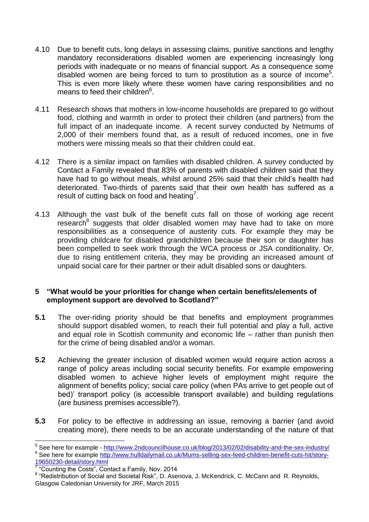- 4.10 Due to benefit cuts, long delays in assessing claims, punitive sanctions and lengthy mandatory reconsiderations disabled women are experiencing increasingly long periods with inadequate or no means of financial support. As a consequence some disabled women are being forced to turn to prostitution as a source of income<sup>5</sup>. This is even more likely where these women have caring responsibilities and no means to feed their children<sup>6</sup>.
- 4.11 Research shows that mothers in low-income households are prepared to go without food, clothing and warmth in order to protect their children (and partners) from the full impact of an inadequate income. A recent survey conducted by Netmums of 2,000 of their members found that, as a result of reduced incomes, one in five mothers were missing meals so that their children could eat.
- 4.12 There is a similar impact on families with disabled children. A survey conducted by Contact a Family revealed that 83% of parents with disabled children said that they have had to go without meals, whilst around 25% said that their child's health had deteriorated. Two-thirds of parents said that their own health has suffered as a result of cutting back on food and heating<sup>7</sup>.
- 4.13 Although the vast bulk of the benefit cuts fall on those of working age recent research<sup>8</sup> suggests that older disabled women may have had to take on more responsibilities as a consequence of austerity cuts. For example they may be providing childcare for disabled grandchildren because their son or daughter has been compelled to seek work through the WCA process or JSA conditionality. Or, due to rising entitlement criteria, they may be providing an increased amount of unpaid social care for their partner or their adult disabled sons or daughters.

### **5 "What would be your priorities for change when certain benefits/elements of employment support are devolved to Scotland?"**

- **5.1** The over-riding priority should be that benefits and employment programmes should support disabled women, to reach their full potential and play a full, active and equal role in Scottish community and economic life – rather than punish then for the crime of being disabled and/or a woman.
- **5.2** Achieving the greater inclusion of disabled women would require action across a range of policy areas including social security benefits. For example empowering disabled women to achieve higher levels of employment might require the alignment of benefits policy; social care policy (when PAs arrive to get people out of bed)' transport policy (is accessible transport available) and building regulations (are business premises accessible?).
- **5.3** For policy to be effective in addressing an issue, removing a barrier (and avoid creating more), there needs to be an accurate understanding of the nature of that

 5 See here for example - <http://www.2ndcouncilhouse.co.uk/blog/2013/02/02/disability-and-the-sex-industry/> <sup>6</sup> See here for example [http://www.hulldailymail.co.uk/Mums-selling-sex-feed-children-benefit-cuts-hit/story-](http://www.hulldailymail.co.uk/Mums-selling-sex-feed-children-benefit-cuts-hit/story-19650230-detail/story.html)[19650230-detail/story.html](http://www.hulldailymail.co.uk/Mums-selling-sex-feed-children-benefit-cuts-hit/story-19650230-detail/story.html)

<sup>&</sup>lt;sup>7</sup> "Counting the Costs", Contact a Family, Nov. 2014

<sup>&</sup>lt;sup>8</sup> "Redistribution of Social and Societal Risk", D. Asenova, J. McKendrick, C. McCann and R. Reynolds, Glasgow Caledonian University for JRF, March 2015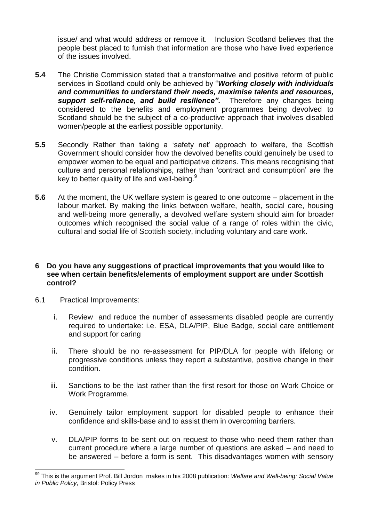issue/ and what would address or remove it. Inclusion Scotland believes that the people best placed to furnish that information are those who have lived experience of the issues involved.

- **5.4** The Christie Commission stated that a transformative and positive reform of public services in Scotland could only be achieved by "*Working closely with individuals and communities to understand their needs, maximise talents and resources, support self-reliance, and build resilience".* Therefore any changes being considered to the benefits and employment programmes being devolved to Scotland should be the subject of a co-productive approach that involves disabled women/people at the earliest possible opportunity.
- **5.5** Secondly Rather than taking a 'safety net' approach to welfare, the Scottish Government should consider how the devolved benefits could genuinely be used to empower women to be equal and participative citizens. This means recognising that culture and personal relationships, rather than 'contract and consumption' are the key to better quality of life and well-being.<sup>9</sup>
- **5.6** At the moment, the UK welfare system is geared to one outcome placement in the labour market. By making the links between welfare, health, social care, housing and well-being more generally, a devolved welfare system should aim for broader outcomes which recognised the social value of a range of roles within the civic, cultural and social life of Scottish society, including voluntary and care work.

#### **6 Do you have any suggestions of practical improvements that you would like to see when certain benefits/elements of employment support are under Scottish control?**

- 6.1 Practical Improvements:
	- i. Review and reduce the number of assessments disabled people are currently required to undertake: i.e. ESA, DLA/PIP, Blue Badge, social care entitlement and support for caring
	- ii. There should be no re-assessment for PIP/DLA for people with lifelong or progressive conditions unless they report a substantive, positive change in their condition.
	- iii. Sanctions to be the last rather than the first resort for those on Work Choice or Work Programme.
	- iv. Genuinely tailor employment support for disabled people to enhance their confidence and skills-base and to assist them in overcoming barriers.
	- v. DLA/PIP forms to be sent out on request to those who need them rather than current procedure where a large number of questions are asked – and need to be answered – before a form is sent. This disadvantages women with sensory

 99 This is the argument Prof. Bill Jordon makes in his 2008 publication: *Welfare and Well-being: Social Value in Public Policy*, Bristol: Policy Press